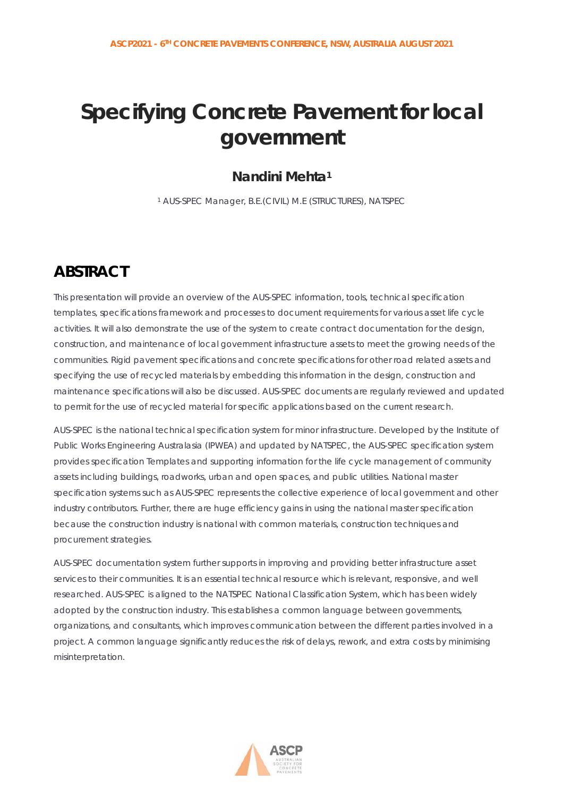# **Specifying Concrete Pavement for local government**

### **Nandini Mehta1**

1 AUS-SPEC Manager, B.E.(CIVIL) M.E (STRUCTURES), NATSPEC

## **ABSTRACT**

This presentation will provide an overview of the AUS-SPEC information, tools, technical specification templates, specifications framework and processes to document requirements for various asset life cycle activities. It will also demonstrate the use of the system to create contract documentation for the design, construction, and maintenance of local government infrastructure assets to meet the growing needs of the communities. Rigid pavement specifications and concrete specifications for other road related assets and specifying the use of recycled materials by embedding this information in the design, construction and maintenance specifications will also be discussed. AUS-SPEC documents are regularly reviewed and updated to permit for the use of recycled material for specific applications based on the current research.

AUS-SPEC is the national technical specification system for minor infrastructure. Developed by the Institute of Public Works Engineering Australasia (IPWEA) and updated by NATSPEC, the AUS-SPEC specification system provides specification Templates and supporting information for the life cycle management of community assets including buildings, roadworks, urban and open spaces, and public utilities. National master specification systems such as AUS-SPEC represents the collective experience of local government and other industry contributors. Further, there are huge efficiency gains in using the national master specification because the construction industry is national with common materials, construction techniques and procurement strategies.

AUS-SPEC documentation system further supports in improving and providing better infrastructure asset services to their communities. It is an essential technical resource which is relevant, responsive, and well researched. AUS-SPEC is aligned to the NATSPEC National Classification System, which has been widely adopted by the construction industry. This establishes a common language between governments, organizations, and consultants, which improves communication between the different parties involved in a project. A common language significantly reduces the risk of delays, rework, and extra costs by minimising misinterpretation.

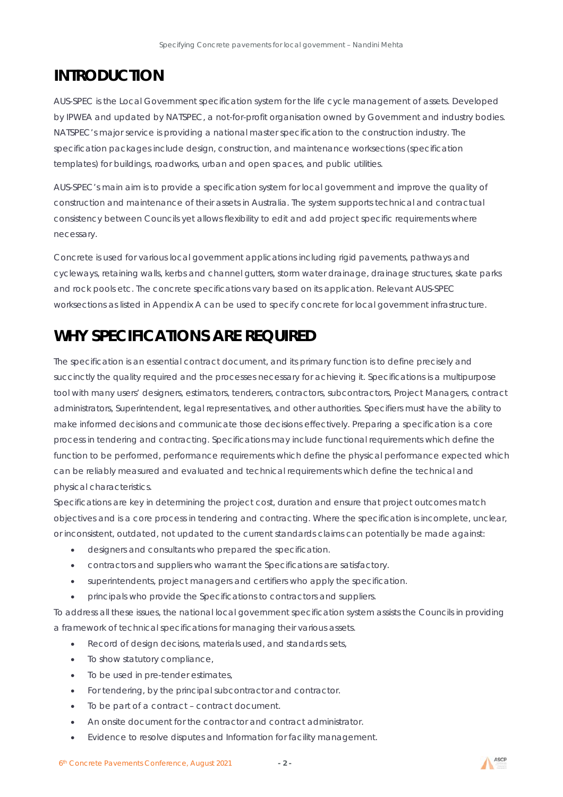## **INTRODUCTION**

AUS-SPEC is the Local Government specification system for the life cycle management of assets. Developed by IPWEA and updated by NATSPEC, a not-for-profit organisation owned by Government and industry bodies. NATSPEC's major service is providing a national master specification to the construction industry. The specification packages include design, construction, and maintenance worksections (specification templates) for buildings, roadworks, urban and open spaces, and public utilities.

AUS-SPEC's main aim is to provide a specification system for local government and improve the quality of construction and maintenance of their assets in Australia. The system supports technical and contractual consistency between Councils yet allows flexibility to edit and add project specific requirements where necessary.

Concrete is used for various local government applications including rigid pavements, pathways and cycleways, retaining walls, kerbs and channel gutters, storm water drainage, drainage structures, skate parks and rock pools etc. The concrete specifications vary based on its application. Relevant AUS-SPEC worksections as listed in Appendix A can be used to specify concrete for local government infrastructure.

## **WHY SPECIFICATIONS ARE REQUIRED**

The specification is an essential contract document, and its primary function is to define precisely and succinctly the quality required and the processes necessary for achieving it. Specifications is a multipurpose tool with many users' designers, estimators, tenderers, contractors, subcontractors, Project Managers, contract administrators, Superintendent, legal representatives, and other authorities. Specifiers must have the ability to make informed decisions and communicate those decisions effectively. Preparing a specification is a core process in tendering and contracting. Specifications may include functional requirements which define the function to be performed, performance requirements which define the physical performance expected which can be reliably measured and evaluated and technical requirements which define the technical and physical characteristics.

Specifications are key in determining the project cost, duration and ensure that project outcomes match objectives and is a core process in tendering and contracting. Where the specification is incomplete, unclear, or inconsistent, outdated, not updated to the current standards claims can potentially be made against:

- designers and consultants who prepared the specification.
- contractors and suppliers who warrant the Specifications are satisfactory.
- superintendents, project managers and certifiers who apply the specification.
- principals who provide the Specifications to contractors and suppliers.

To address all these issues, the national local government specification system assists the Councils in providing a framework of technical specifications for managing their various assets.

- Record of design decisions, materials used, and standards sets,
- To show statutory compliance,
- To be used in pre-tender estimates,
- For tendering, by the principal subcontractor and contractor.
- To be part of a contract contract document.
- An onsite document for the contractor and contract administrator.
- Evidence to resolve disputes and Information for facility management.

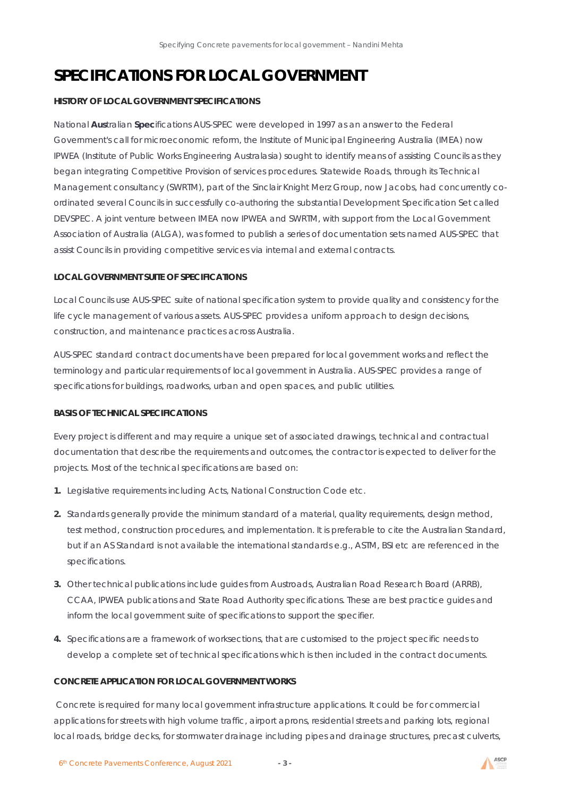## **SPECIFICATIONS FOR LOCAL GOVERNMENT**

### **HISTORY OF LOCAL GOVERNMENT SPECIFICATIONS**

National **Aus**tralian **Spec**ifications AUS-SPEC were developed in 1997 as an answer to the Federal Government's call for microeconomic reform, the Institute of Municipal Engineering Australia (IMEA) now IPWEA (Institute of Public Works Engineering Australasia) sought to identify means of assisting Councils as they began integrating Competitive Provision of services procedures. Statewide Roads, through its Technical Management consultancy (SWRTM), part of the Sinclair Knight Merz Group, now Jacobs, had concurrently coordinated several Councils in successfully co-authoring the substantial Development Specification Set called DEVSPEC. A joint venture between IMEA now IPWEA and SWRTM, with support from the Local Government Association of Australia (ALGA), was formed to publish a series of documentation sets named AUS-SPEC that assist Councils in providing competitive services via internal and external contracts.

### **LOCAL GOVERNMENT SUITE OF SPECIFICATIONS**

Local Councils use AUS-SPEC suite of national specification system to provide quality and consistency for the life cycle management of various assets. AUS-SPEC provides a uniform approach to design decisions, construction, and maintenance practices across Australia.

AUS-SPEC standard contract documents have been prepared for local government works and reflect the terminology and particular requirements of local government in Australia. AUS-SPEC provides a range of specifications for buildings, roadworks, urban and open spaces, and public utilities.

#### **BASIS OF TECHNICAL SPECIFICATIONS**

Every project is different and may require a unique set of associated drawings, technical and contractual documentation that describe the requirements and outcomes, the contractor is expected to deliver for the projects. Most of the technical specifications are based on:

- **1.** Legislative requirements including Acts, National Construction Code etc.
- **2.** Standards generally provide the minimum standard of a material, quality requirements, design method, test method, construction procedures, and implementation. It is preferable to cite the Australian Standard, but if an AS Standard is not available the international standards e.g., ASTM, BSI etc are referenced in the specifications.
- **3.** Other technical publications include guides from Austroads, Australian Road Research Board (ARRB), CCAA, IPWEA publications and State Road Authority specifications. These are best practice guides and inform the local government suite of specifications to support the specifier.
- **4.** Specifications are a framework of worksections, that are customised to the project specific needs to develop a complete set of technical specifications which is then included in the contract documents.

#### **CONCRETE APPLICATION FOR LOCAL GOVERNMENT WORKS**

 Concrete is required for many local government infrastructure applications. It could be for commercial applications for streets with high volume traffic, airport aprons, residential streets and parking lots, regional local roads, bridge decks, for stormwater drainage including pipes and drainage structures, precast culverts,

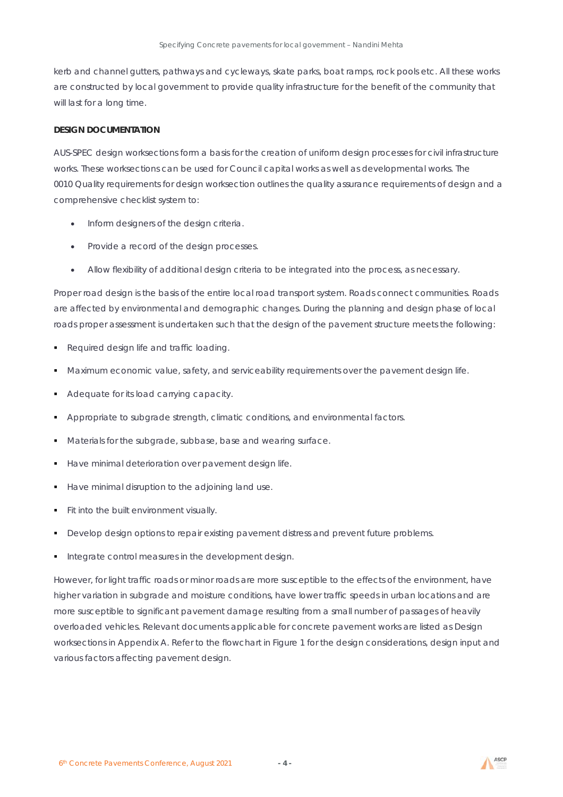kerb and channel gutters, pathways and cycleways, skate parks, boat ramps, rock pools etc. All these works are constructed by local government to provide quality infrastructure for the benefit of the community that will last for a long time.

### **DESIGN DOCUMENTATION**

AUS-SPEC design worksections form a basis for the creation of uniform design processes for civil infrastructure works. These worksections can be used for Council capital works as well as developmental works. The *0010 Quality requirements for design* worksection outlines the quality assurance requirements of design and a comprehensive checklist system to:

- Inform designers of the design criteria.
- Provide a record of the design processes.
- Allow flexibility of additional design criteria to be integrated into the process, as necessary.

Proper road design is the basis of the entire local road transport system. Roads connect communities. Roads are affected by environmental and demographic changes. During the planning and design phase of local roads proper assessment is undertaken such that the design of the pavement structure meets the following:

- Required design life and traffic loading.
- **Maximum economic value, safety, and serviceability requirements over the pavement design life.**
- Adequate for its load carrying capacity.
- Appropriate to subgrade strength, climatic conditions, and environmental factors.
- Materials for the subgrade, subbase, base and wearing surface.
- Have minimal deterioration over pavement design life.
- Have minimal disruption to the adjoining land use.
- Fit into the built environment visually.
- Develop design options to repair existing pavement distress and prevent future problems.
- Integrate control measures in the development design.

However, for light traffic roads or minor roads are more susceptible to the effects of the environment, have higher variation in subgrade and moisture conditions, have lower traffic speeds in urban locations and are more susceptible to significant pavement damage resulting from a small number of passages of heavily overloaded vehicles. Relevant documents applicable for concrete pavement works are listed as Design worksections in Appendix A. Refer to the flowchart in Figure 1 for the design considerations, design input and various factors affecting pavement design.

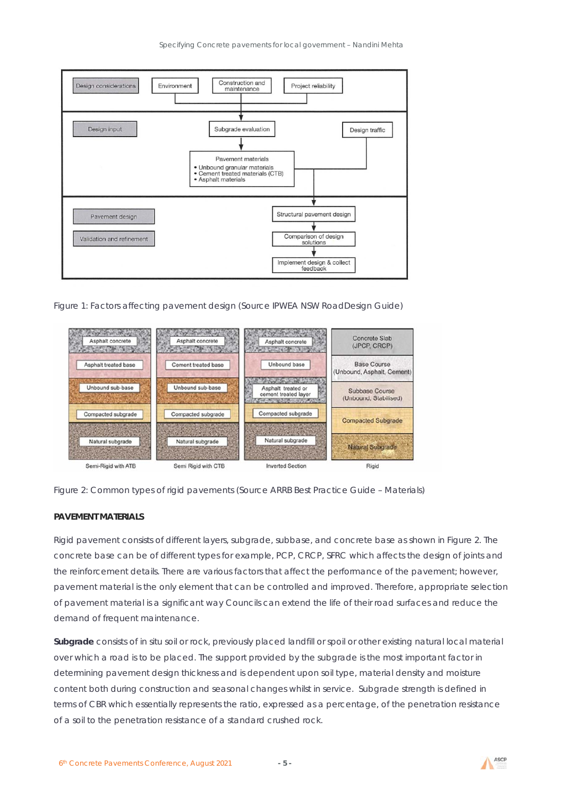

Figure 1: Factors affecting pavement design (Source IPWEA NSW RoadDesign Guide)





### **PAVEMENT MATERIALS**

Rigid pavement consists of different layers, subgrade, subbase, and concrete base as shown in Figure 2. The concrete base can be of different types for example, PCP, CRCP, SFRC which affects the design of joints and the reinforcement details. There are various factors that affect the performance of the pavement; however, pavement material is the only element that can be controlled and improved. Therefore, appropriate selection of pavement material is a significant way Councils can extend the life of their road surfaces and reduce the demand of frequent maintenance.

**Subgrade** consists of in situ soil or rock, previously placed landfill or spoil or other existing natural local material over which a road is to be placed. The support provided by the subgrade is the most important factor in determining pavement design thickness and is dependent upon soil type, material density and moisture content both during construction and seasonal changes whilst in service. Subgrade strength is defined in terms of CBR which essentially represents the ratio, expressed as a percentage, of the penetration resistance of a soil to the penetration resistance of a standard crushed rock.

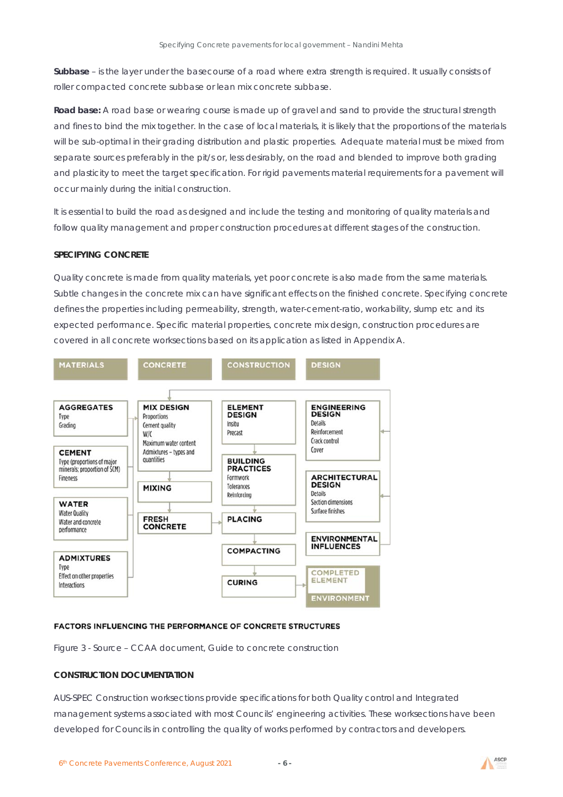**Subbase** – is the layer under the basecourse of a road where extra strength is required. It usually consists of roller compacted concrete subbase or lean mix concrete subbase.

**Road base:** A road base or wearing course is made up of gravel and sand to provide the structural strength and fines to bind the mix together. In the case of local materials, it is likely that the proportions of the materials will be sub-optimal in their grading distribution and plastic properties. Adequate material must be mixed from separate sources preferably in the pit/s or, less desirably, on the road and blended to improve both grading and plasticity to meet the target specification. For rigid pavements material requirements for a pavement will occur mainly during the initial construction.

It is essential to build the road as designed and include the testing and monitoring of quality materials and follow quality management and proper construction procedures at different stages of the construction.

#### **SPECIFYING CONCRETE**

Quality concrete is made from quality materials, yet poor concrete is also made from the same materials. Subtle changes in the concrete mix can have significant effects on the finished concrete. Specifying concrete defines the properties including permeability, strength, water-cement-ratio, workability, slump etc and its expected performance. Specific material properties, concrete mix design, construction procedures are covered in all concrete worksections based on its application as listed in Appendix A.



#### **FACTORS INFLUENCING THE PERFORMANCE OF CONCRETE STRUCTURES**

Figure 3 - Source – CCAA document, Guide to concrete construction

#### **CONSTRUCTION DOCUMENTATION**

AUS-SPEC Construction worksections provide specifications for both Quality control and Integrated management systems associated with most Councils' engineering activities. These worksections have been developed for Councils in controlling the quality of works performed by contractors and developers.

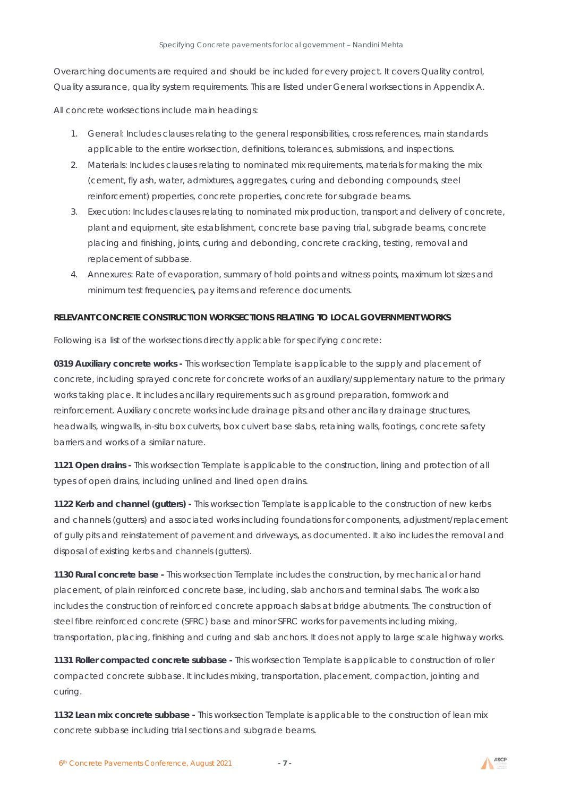Overarching documents are required and should be included for every project. It covers Quality control, Quality assurance, quality system requirements. This are listed under General worksections in Appendix A.

All concrete worksections include main headings:

- 1. General: Includes clauses relating to the general responsibilities, cross references, main standards applicable to the entire worksection, definitions, tolerances, submissions, and inspections.
- 2. Materials: Includes clauses relating to nominated mix requirements, materials for making the mix (cement, fly ash, water, admixtures, aggregates, curing and debonding compounds, steel reinforcement) properties, concrete properties, concrete for subgrade beams.
- 3. Execution: Includes clauses relating to nominated mix production, transport and delivery of concrete, plant and equipment, site establishment, concrete base paving trial, subgrade beams, concrete placing and finishing, joints, curing and debonding, concrete cracking, testing, removal and replacement of subbase.
- 4. Annexures: Rate of evaporation, summary of hold points and witness points, maximum lot sizes and minimum test frequencies, pay items and reference documents.

### **RELEVANT CONCRETE CONSTRUCTION WORKSECTIONS RELATING TO LOCAL GOVERNMENT WORKS**

Following is a list of the worksections directly applicable for specifying concrete:

**0319 Auxiliary concrete works -** This worksection *Template* is applicable to the supply and placement of concrete, including sprayed concrete for concrete works of an auxiliary/supplementary nature to the primary works taking place. It includes ancillary requirements such as ground preparation, formwork and reinforcement. Auxiliary concrete works include drainage pits and other ancillary drainage structures, headwalls, wingwalls, in-situ box culverts, box culvert base slabs, retaining walls, footings, concrete safety barriers and works of a similar nature.

**1121 Open drains -** This worksection *Template* is applicable to the construction, lining and protection of all types of open drains, including unlined and lined open drains.

**1122 Kerb and channel (gutters) -** This worksection *Template* is applicable to the construction of new kerbs and channels (gutters) and associated works including foundations for components, adjustment/replacement of gully pits and reinstatement of pavement and driveways, as documented. It also includes the removal and disposal of existing kerbs and channels (gutters).

**1130 Rural concrete base -** This worksection *Template* includes the construction, by mechanical or hand placement, of plain reinforced concrete base, including, slab anchors and terminal slabs. The work also includes the construction of reinforced concrete approach slabs at bridge abutments. The construction of steel fibre reinforced concrete (SFRC) base and minor SFRC works for pavements including mixing, transportation, placing, finishing and curing and slab anchors. It does not apply to large scale highway works.

**1131 Roller compacted concrete subbase -** This worksection *Template* is applicable to construction of roller compacted concrete subbase. It includes mixing, transportation, placement, compaction, jointing and curing.

**1132 Lean mix concrete subbase -** This worksection *Template* is applicable to the construction of lean mix concrete subbase including trial sections and subgrade beams.

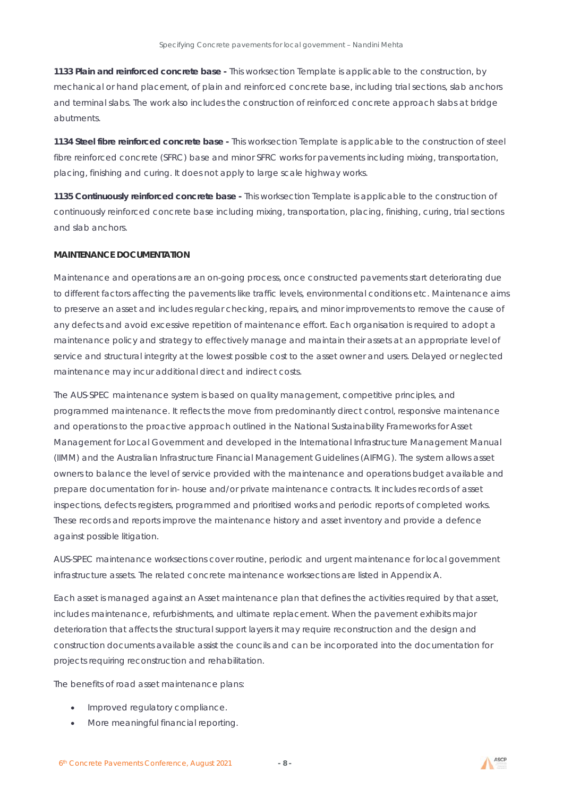**1133 Plain and reinforced concrete base -** This worksection *Template* is applicable to the construction, by mechanical or hand placement, of plain and reinforced concrete base, including trial sections, slab anchors and terminal slabs. The work also includes the construction of reinforced concrete approach slabs at bridge abutments.

**1134 Steel fibre reinforced concrete base -** This worksection *Template* is applicable to the construction of steel fibre reinforced concrete (SFRC) base and minor SFRC works for pavements including mixing, transportation, placing, finishing and curing. It does not apply to large scale highway works.

**1135 Continuously reinforced concrete base -** This worksection Template is applicable to the construction of continuously reinforced concrete base including mixing, transportation, placing, finishing, curing, trial sections and slab anchors.

### **MAINTENANCE DOCUMENTATION**

Maintenance and operations are an on-going process, once constructed pavements start deteriorating due to different factors affecting the pavements like traffic levels, environmental conditions etc. Maintenance aims to preserve an asset and includes regular checking, repairs, and minor improvements to remove the cause of any defects and avoid excessive repetition of maintenance effort. Each organisation is required to adopt a maintenance policy and strategy to effectively manage and maintain their assets at an appropriate level of service and structural integrity at the lowest possible cost to the asset owner and users. Delayed or neglected maintenance may incur additional direct and indirect costs.

The AUS-SPEC maintenance system is based on quality management, competitive principles, and programmed maintenance. It reflects the move from predominantly direct control, responsive maintenance and operations to the proactive approach outlined in the National Sustainability Frameworks for Asset Management for Local Government and developed in the International Infrastructure Management Manual (IIMM) and the Australian Infrastructure Financial Management Guidelines (AIFMG). The system allows asset owners to balance the level of service provided with the maintenance and operations budget available and prepare documentation for in- house and/or private maintenance contracts. It includes records of asset inspections, defects registers, programmed and prioritised works and periodic reports of completed works. These records and reports improve the maintenance history and asset inventory and provide a defence against possible litigation.

AUS-SPEC maintenance worksections cover routine, periodic and urgent maintenance for local government infrastructure assets. The related concrete maintenance worksections are listed in Appendix A.

Each asset is managed against an Asset maintenance plan that defines the activities required by that asset, includes maintenance, refurbishments, and ultimate replacement. When the pavement exhibits major deterioration that affects the structural support layers it may require reconstruction and the design and construction documents available assist the councils and can be incorporated into the documentation for projects requiring reconstruction and rehabilitation.

The benefits of road asset maintenance plans:

- Improved regulatory compliance.
- More meaningful financial reporting.

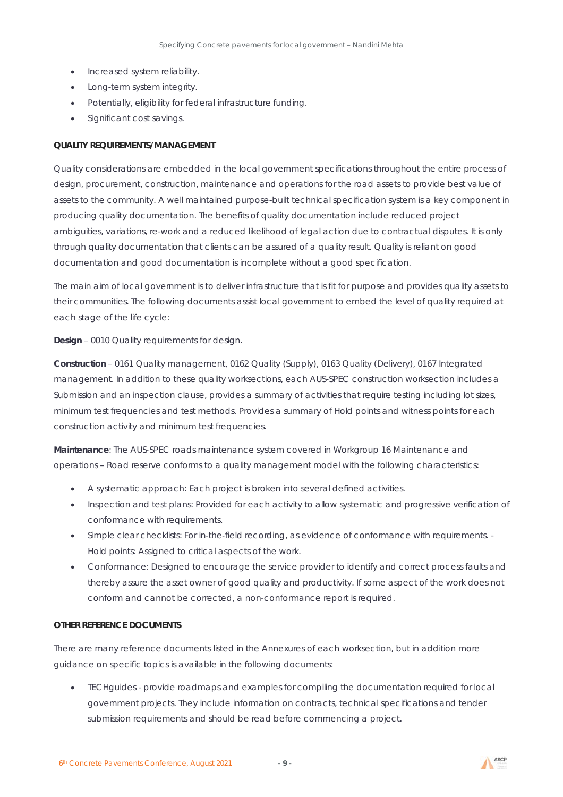- Increased system reliability.
- Long-term system integrity.
- Potentially, eligibility for federal infrastructure funding.
- Significant cost savings.

### **QUALITY REQUIREMENTS/MANAGEMENT**

Quality considerations are embedded in the local government specifications throughout the entire process of design, procurement, construction, maintenance and operations for the road assets to provide best value of assets to the community. A well maintained purpose-built technical specification system is a key component in producing quality documentation. The benefits of quality documentation include reduced project ambiguities, variations, re-work and a reduced likelihood of legal action due to contractual disputes. It is only through quality documentation that clients can be assured of a quality result. Quality is reliant on good documentation and good documentation is incomplete without a good specification.

The main aim of local government is to deliver infrastructure that is fit for purpose and provides quality assets to their communities. The following documents assist local government to embed the level of quality required at each stage of the life cycle:

#### **Design** – *0010 Quality requirements for design.*

**Construction** – *0161 Quality management, 0162 Quality (Supply), 0163 Quality (Delivery), 0167 Integrated management.* In addition to these quality worksections, each AUS-SPEC construction worksection includes a Submission and an inspection clause, provides a summary of activities that require testing including lot sizes, minimum test frequencies and test methods. Provides a summary of Hold points and witness points for each construction activity and minimum test frequencies.

**Maintenance**: The AUS-SPEC roads maintenance system covered in *Workgroup 16 Maintenance and operations – Road reserve* conforms to a quality management model with the following characteristics:

- A systematic approach: Each project is broken into several defined activities.
- Inspection and test plans: Provided for each activity to allow systematic and progressive verification of conformance with requirements.
- Simple clear checklists: For in-the-field recording, as evidence of conformance with requirements. Hold points: Assigned to critical aspects of the work.
- Conformance: Designed to encourage the service provider to identify and correct process faults and thereby assure the asset owner of good quality and productivity. If some aspect of the work does not conform and cannot be corrected, a non-conformance report is required.

### **OTHER REFERENCE DOCUMENTS**

There are many reference documents listed in the Annexures of each worksection, but in addition more guidance on specific topics is available in the following documents:

 TECHguides - provide roadmaps and examples for compiling the documentation required for local government projects. They include information on contracts, technical specifications and tender submission requirements and should be read before commencing a project.

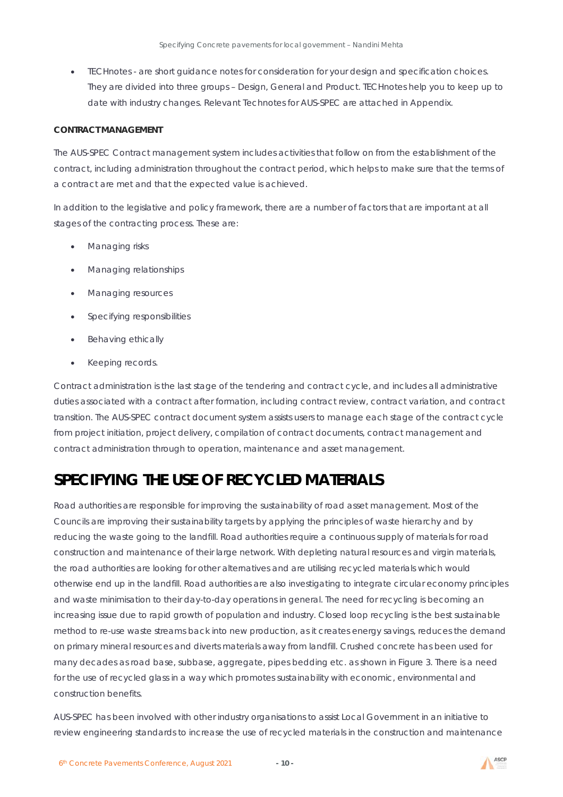TECHnotes - are short guidance notes for consideration for your design and specification choices. They are divided into three groups – Design, General and Product. TECHnotes help you to keep up to date with industry changes. Relevant Technotes for AUS-SPEC are attached in Appendix.

### **CONTRACT MANAGEMENT**

The AUS-SPEC Contract management system includes activities that follow on from the establishment of the contract, including administration throughout the contract period, which helps to make sure that the terms of a contract are met and that the expected value is achieved.

In addition to the legislative and policy framework, there are a number of factors that are important at all stages of the contracting process. These are:

- Managing risks
- Managing relationships
- Managing resources
- Specifying responsibilities
- Behaving ethically
- Keeping records.

Contract administration is the last stage of the tendering and contract cycle, and includes all administrative duties associated with a contract after formation, including contract review, contract variation, and contract transition. The AUS-SPEC contract document system assists users to manage each stage of the contract cycle from project initiation, project delivery, compilation of contract documents, contract management and contract administration through to operation, maintenance and asset management.

## **SPECIFYING THE USE OF RECYCLED MATERIALS**

Road authorities are responsible for improving the sustainability of road asset management. Most of the Councils are improving their sustainability targets by applying the principles of waste hierarchy and by reducing the waste going to the landfill. Road authorities require a continuous supply of materials for road construction and maintenance of their large network. With depleting natural resources and virgin materials, the road authorities are looking for other alternatives and are utilising recycled materials which would otherwise end up in the landfill. Road authorities are also investigating to integrate circular economy principles and waste minimisation to their day-to-day operations in general. The need for recycling is becoming an increasing issue due to rapid growth of population and industry. Closed loop recycling is the best sustainable method to re-use waste streams back into new production, as it creates energy savings, reduces the demand on primary mineral resources and diverts materials away from landfill. Crushed concrete has been used for many decades as road base, subbase, aggregate, pipes bedding etc. as shown in Figure 3. There is a need for the use of recycled glass in a way which promotes sustainability with economic, environmental and construction benefits.

AUS-SPEC has been involved with other industry organisations to assist Local Government in an initiative to review engineering standards to increase the use of recycled materials in the construction and maintenance

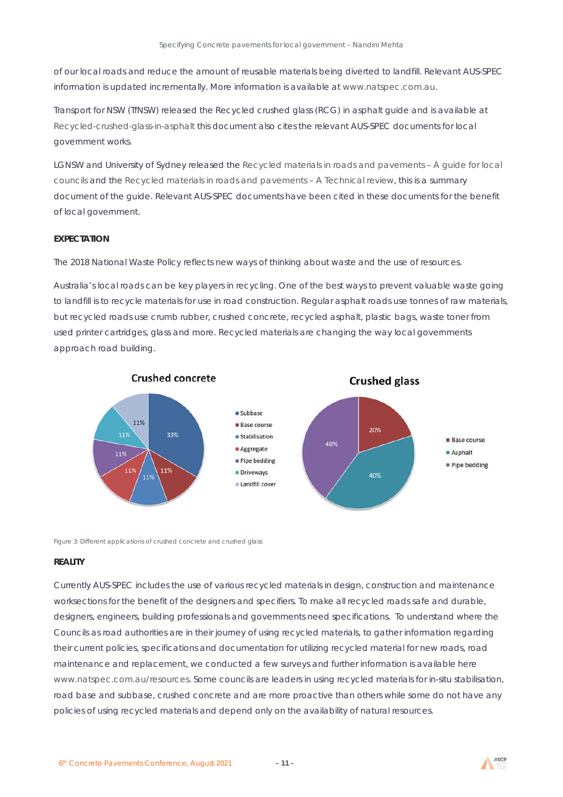of our local roads and reduce the amount of reusable materials being diverted to landfill. Relevant AUS-SPEC information is updated incrementally. More information is available at www.natspec.com.au.

Transport for NSW (TfNSW) released the *Recycled crushed glass (RCG) in asphalt guide* and is available at Recycled-crushed-glass-in-asphalt this document also cites the relevant AUS-SPEC documents for local government works.

LGNSW and University of Sydney released the *Recycled materials in roads and pavements – A guide for local councils* and the *Recycled materials in roads and pavements – A Technical review*, this is a summary document of the guide. Relevant AUS-SPEC documents have been cited in these documents for the benefit of local government.

#### **EXPECTATION**

The 2018 National Waste Policy reflects new ways of thinking about waste and the use of resources.

Australia's local roads can be key players in recycling. One of the best ways to prevent valuable waste going to landfill is to recycle materials for use in road construction. Regular asphalt roads use tonnes of raw materials, but recycled roads use crumb rubber, crushed concrete, recycled asphalt, plastic bags, waste toner from used printer cartridges, glass and more. Recycled materials are changing the way local governments approach road building.



*Figure 3: Different applications of crushed concrete and crushed glass* 

#### **REALITY**

Currently AUS-SPEC includes the use of various recycled materials in design, construction and maintenance worksections for the benefit of the designers and specifiers. To make all recycled roads safe and durable, designers, engineers, building professionals and governments need specifications. To understand where the Councils as road authorities are in their journey of using recycled materials, to gather information regarding their current policies, specifications and documentation for utilizing recycled material for new roads, road maintenance and replacement, we conducted a few surveys and further information is available here www.natspec.com.au/resources. Some councils are leaders in using recycled materials for in-situ stabilisation, road base and subbase, crushed concrete and are more proactive than others while some do not have any policies of using recycled materials and depend only on the availability of natural resources.

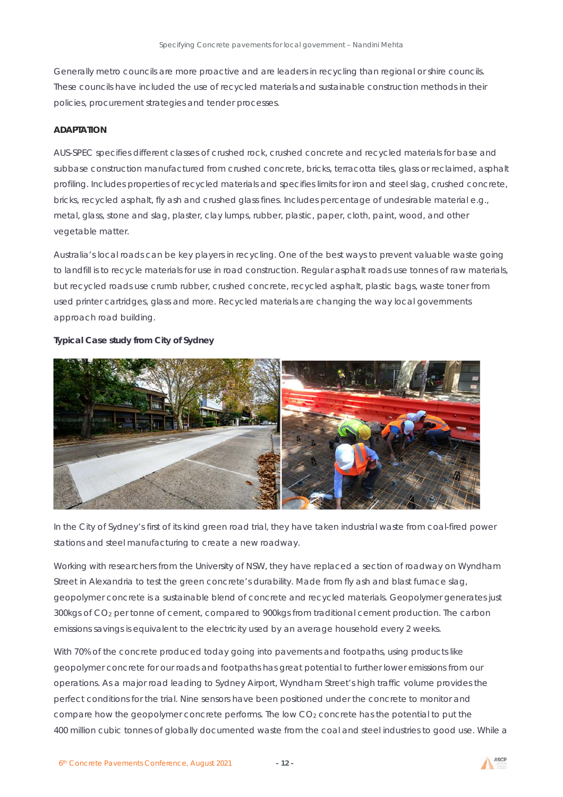Generally metro councils are more proactive and are leaders in recycling than regional or shire councils. These councils have included the use of recycled materials and sustainable construction methods in their policies, procurement strategies and tender processes.

### **ADAPTATION**

AUS-SPEC specifies different classes of crushed rock, crushed concrete and recycled materials for base and subbase construction manufactured from crushed concrete, bricks, terracotta tiles, glass or reclaimed, asphalt profiling. Includes properties of recycled materials and specifies limits for iron and steel slag, crushed concrete, bricks, recycled asphalt, fly ash and crushed glass fines. Includes percentage of undesirable material e.g., metal, glass, stone and slag, plaster, clay lumps, rubber, plastic, paper, cloth, paint, wood, and other vegetable matter.

Australia's local roads can be key players in recycling. One of the best ways to prevent valuable waste going to landfill is to recycle materials for use in road construction. Regular asphalt roads use tonnes of raw materials, but recycled roads use crumb rubber, crushed concrete, recycled asphalt, plastic bags, waste toner from used printer cartridges, glass and more. Recycled materials are changing the way local governments approach road building.



#### **Typical Case study from City of Sydney**

In the City of Sydney's first of its kind green road trial, they have taken industrial waste from coal-fired power stations and steel manufacturing to create a new roadway.

Working with researchers from the University of NSW, they have replaced a section of roadway on Wyndham Street in Alexandria to test the green concrete's durability. Made from fly ash and blast furnace slag, geopolymer concrete is a sustainable blend of concrete and recycled materials. Geopolymer generates just 300kgs of CO2 per tonne of cement, compared to 900kgs from traditional cement production. The carbon emissions savings is equivalent to the electricity used by an average household every 2 weeks.

With 70% of the concrete produced today going into pavements and footpaths, using products like geopolymer concrete for our roads and footpaths has great potential to further lower emissions from our operations. As a major road leading to Sydney Airport, Wyndham Street's high traffic volume provides the perfect conditions for the trial. Nine sensors have been positioned under the concrete to monitor and compare how the geopolymer concrete performs. The low CO<sub>2</sub> concrete has the potential to put the 400 million cubic tonnes of globally documented waste from the coal and steel industries to good use. While a

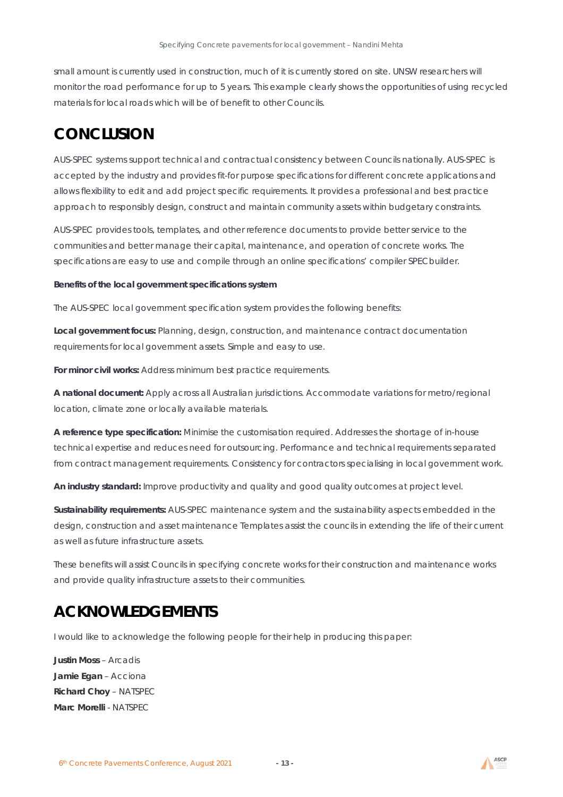small amount is currently used in construction, much of it is currently stored on site. UNSW researchers will monitor the road performance for up to 5 years. This example clearly shows the opportunities of using recycled materials for local roads which will be of benefit to other Councils.

## **CONCLUSION**

AUS-SPEC systems support technical and contractual consistency between Councils nationally. AUS-SPEC is accepted by the industry and provides fit-for purpose specifications for different concrete applications and allows flexibility to edit and add project specific requirements. It provides a professional and best practice approach to responsibly design, construct and maintain community assets within budgetary constraints.

AUS-SPEC provides tools, templates, and other reference documents to provide better service to the communities and better manage their capital, maintenance, and operation of concrete works. The specifications are easy to use and compile through an online specifications' compiler SPECbuilder.

#### **Benefits of the local government specifications system**

The AUS-SPEC local government specification system provides the following benefits:

**Local government focus:** Planning, design, construction, and maintenance contract documentation requirements for local government assets. Simple and easy to use.

**For minor civil works:** Address minimum best practice requirements.

**A national document:** Apply across all Australian jurisdictions. Accommodate variations for metro/regional location, climate zone or locally available materials.

**A reference type specification:** Minimise the customisation required. Addresses the shortage of in-house technical expertise and reduces need for outsourcing. Performance and technical requirements separated from contract management requirements. Consistency for contractors specialising in local government work.

**An industry standard:** Improve productivity and quality and good quality outcomes at project level.

**Sustainability requirements:** AUS-SPEC maintenance system and the sustainability aspects embedded in the design, construction and asset maintenance *Templates* assist the councils in extending the life of their current as well as future infrastructure assets.

These benefits will assist Councils in specifying concrete works for their construction and maintenance works and provide quality infrastructure assets to their communities.

## **ACKNOWLEDGEMENTS**

I would like to acknowledge the following people for their help in producing this paper:

**Justin Moss** – *Arcadis* **Jamie Egan** – *Acciona*  **Richard Choy** *– NATSPEC*  **Marc Morelli** - *NATSPEC*

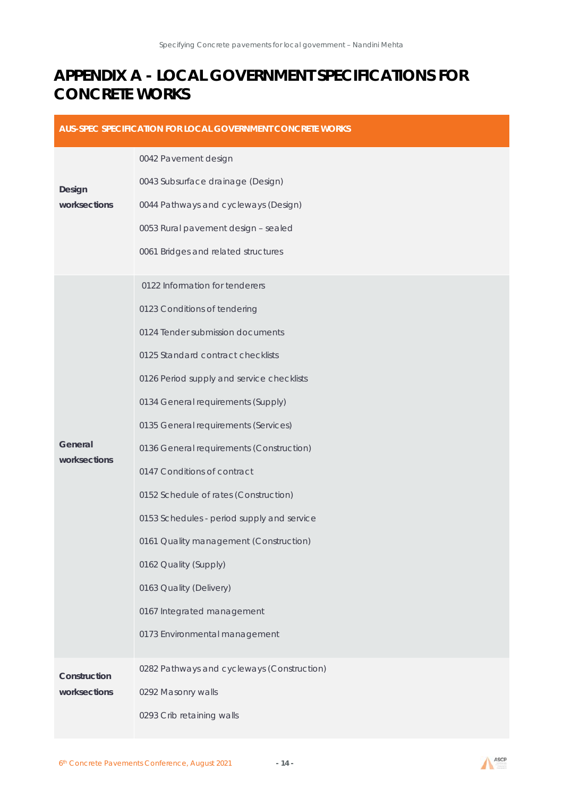## **APPENDIX A - LOCAL GOVERNMENT SPECIFICATIONS FOR CONCRETE WORKS**

| AUS-SPEC SPECIFICATION FOR LOCAL GOVERNMENT CONCRETE WORKS |                                                                                                                                                                                                                                                                                                                                                                                                                                                                                                                                                                                                   |  |
|------------------------------------------------------------|---------------------------------------------------------------------------------------------------------------------------------------------------------------------------------------------------------------------------------------------------------------------------------------------------------------------------------------------------------------------------------------------------------------------------------------------------------------------------------------------------------------------------------------------------------------------------------------------------|--|
| Design<br>worksections                                     | 0042 Pavement design<br>0043 Subsurface drainage (Design)<br>0044 Pathways and cycleways (Design)<br>0053 Rural pavement design - sealed<br>0061 Bridges and related structures                                                                                                                                                                                                                                                                                                                                                                                                                   |  |
| General<br>worksections                                    | 0122 Information for tenderers<br>0123 Conditions of tendering<br>0124 Tender submission documents<br>0125 Standard contract checklists<br>0126 Period supply and service checklists<br>0134 General requirements (Supply)<br>0135 General requirements (Services)<br>0136 General requirements (Construction)<br>0147 Conditions of contract<br>0152 Schedule of rates (Construction)<br>0153 Schedules - period supply and service<br>0161 Quality management (Construction)<br>0162 Quality (Supply)<br>0163 Quality (Delivery)<br>0167 Integrated management<br>0173 Environmental management |  |
| Construction<br>worksections                               | 0282 Pathways and cycleways (Construction)<br>0292 Masonry walls<br>0293 Crib retaining walls                                                                                                                                                                                                                                                                                                                                                                                                                                                                                                     |  |

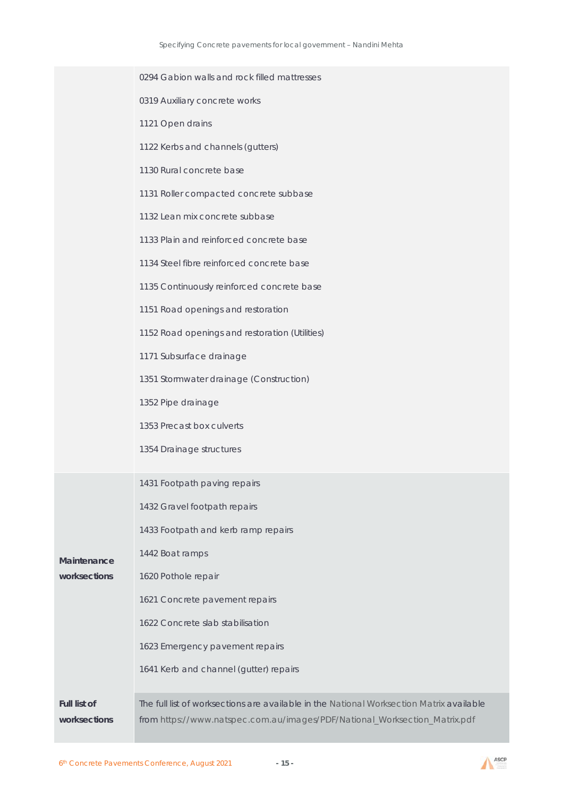|                              | 0294 Gabion walls and rock filled mattresses                                                                                                                           |
|------------------------------|------------------------------------------------------------------------------------------------------------------------------------------------------------------------|
|                              | 0319 Auxiliary concrete works                                                                                                                                          |
|                              | 1121 Open drains                                                                                                                                                       |
|                              | 1122 Kerbs and channels (gutters)                                                                                                                                      |
|                              | 1130 Rural concrete base                                                                                                                                               |
|                              | 1131 Roller compacted concrete subbase                                                                                                                                 |
|                              | 1132 Lean mix concrete subbase                                                                                                                                         |
|                              | 1133 Plain and reinforced concrete base                                                                                                                                |
|                              | 1134 Steel fibre reinforced concrete base                                                                                                                              |
|                              | 1135 Continuously reinforced concrete base                                                                                                                             |
|                              | 1151 Road openings and restoration                                                                                                                                     |
|                              | 1152 Road openings and restoration (Utilities)                                                                                                                         |
|                              | 1171 Subsurface drainage                                                                                                                                               |
|                              | 1351 Stormwater drainage (Construction)                                                                                                                                |
|                              | 1352 Pipe drainage                                                                                                                                                     |
|                              | 1353 Precast box culverts                                                                                                                                              |
|                              | 1354 Drainage structures                                                                                                                                               |
|                              | 1431 Footpath paving repairs                                                                                                                                           |
|                              | 1432 Gravel footpath repairs                                                                                                                                           |
|                              | 1433 Footpath and kerb ramp repairs                                                                                                                                    |
|                              | 1442 Boat ramps                                                                                                                                                        |
| Maintenance<br>worksections  | 1620 Pothole repair                                                                                                                                                    |
|                              | 1621 Concrete pavement repairs                                                                                                                                         |
|                              | 1622 Concrete slab stabilisation                                                                                                                                       |
|                              | 1623 Emergency pavement repairs                                                                                                                                        |
|                              | 1641 Kerb and channel (gutter) repairs                                                                                                                                 |
|                              |                                                                                                                                                                        |
| Full list of<br>worksections | The full list of worksections are available in the National Worksection Matrix available<br>from https://www.natspec.com.au/images/PDF/National_Worksection_Matrix.pdf |
|                              |                                                                                                                                                                        |